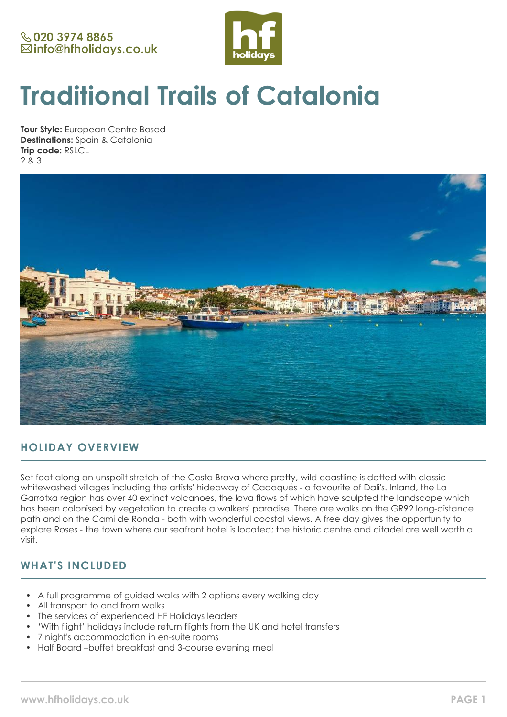

# **Traditional Trails of Catalonia**

**Tour Style:** European Centre Based **Destinations:** Spain & Catalonia **Trip code:** RSLCL 2 & 3



# **HOLIDAY OVERVIEW**

Set foot along an unspoilt stretch of the Costa Brava where pretty, wild coastline is dotted with classic whitewashed villages including the artists' hideaway of Cadaqués - a favourite of Dali's. Inland, the La Garrotxa region has over 40 extinct volcanoes, the lava flows of which have sculpted the landscape which has been colonised by vegetation to create a walkers' paradise. There are walks on the GR92 long-distance path and on the Cami de Ronda - both with wonderful coastal views. A free day gives the opportunity to explore Roses - the town where our seafront hotel is located; the historic centre and citadel are well worth a visit.

# **WHAT'S INCLUDED**

- A full programme of guided walks with 2 options every walking day
- All transport to and from walks
- The services of experienced HF Holidays leaders
- 'With flight' holidays include return flights from the UK and hotel transfers
- 7 night's accommodation in en-suite rooms
- Half Board –buffet breakfast and 3-course evening meal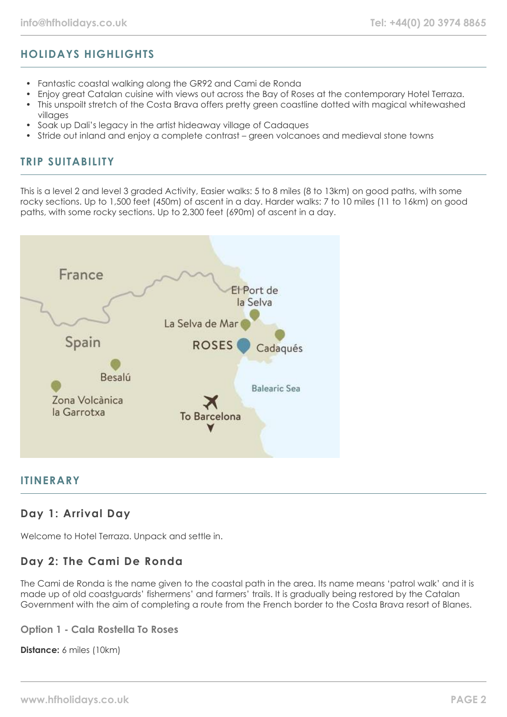# **HOLIDAYS HIGHLIGHTS**

- Fantastic coastal walking along the GR92 and Cami de Ronda
- Enjoy great Catalan cuisine with views out across the Bay of Roses at the contemporary Hotel Terraza.
- This unspoilt stretch of the Costa Brava offers pretty green coastline dotted with magical whitewashed villages
- Soak up Dali's legacy in the artist hideaway village of Cadaques
- Stride out inland and enjoy a complete contrast green volcanoes and medieval stone towns

## **TRIP SUITABILITY**

This is a level 2 and level 3 graded Activity, Easier walks: 5 to 8 miles (8 to 13km) on good paths, with some rocky sections. Up to 1,500 feet (450m) of ascent in a day. Harder walks: 7 to 10 miles (11 to 16km) on good paths, with some rocky sections. Up to 2,300 feet (690m) of ascent in a day.



## **ITINERARY**

# **Day 1: Arrival Day**

Welcome to Hotel Terraza. Unpack and settle in.

# **Day 2: The Cami De Ronda**

The Cami de Ronda is the name given to the coastal path in the area. Its name means 'patrol walk' and it is made up of old coastguards' fishermens' and farmers' trails. It is gradually being restored by the Catalan Government with the aim of completing a route from the French border to the Costa Brava resort of Blanes.

## **Option 1 - Cala Rostella To Roses**

**Distance:** 6 miles (10km)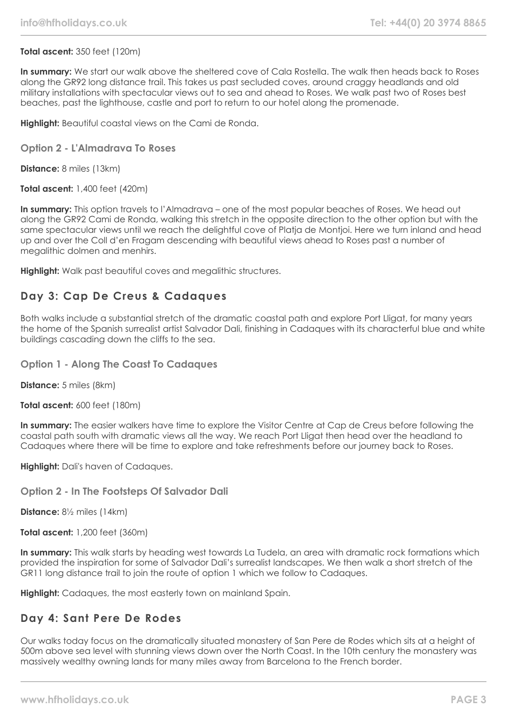## **Total ascent:** 350 feet (120m)

**In summary:** We start our walk above the sheltered cove of Cala Rostella. The walk then heads back to Roses along the GR92 long distance trail. This takes us past secluded coves, around craggy headlands and old military installations with spectacular views out to sea and ahead to Roses. We walk past two of Roses best beaches, past the lighthouse, castle and port to return to our hotel along the promenade.

**Highlight:** Beautiful coastal views on the Cami de Ronda.

## **Option 2 - L'Almadrava To Roses**

**Distance:** 8 miles (13km)

**Total ascent:** 1,400 feet (420m)

**In summary:** This option travels to l'Almadrava – one of the most popular beaches of Roses. We head out along the GR92 Cami de Ronda, walking this stretch in the opposite direction to the other option but with the same spectacular views until we reach the delightful cove of Platja de Montjoi. Here we turn inland and head up and over the Coll d'en Fragam descending with beautiful views ahead to Roses past a number of megalithic dolmen and menhirs.

**Highlight:** Walk past beautiful coves and megalithic structures.

# **Day 3: Cap De Creus & Cadaques**

Both walks include a substantial stretch of the dramatic coastal path and explore Port Lligat, for many years the home of the Spanish surrealist artist Salvador Dali, finishing in Cadaques with its characterful blue and white buildings cascading down the cliffs to the sea.

## **Option 1 - Along The Coast To Cadaques**

**Distance:** 5 miles (8km)

**Total ascent:** 600 feet (180m)

**In summary:** The easier walkers have time to explore the Visitor Centre at Cap de Creus before following the coastal path south with dramatic views all the way. We reach Port Lligat then head over the headland to Cadaques where there will be time to explore and take refreshments before our journey back to Roses.

**Highlight:** Dali's haven of Cadaques.

## **Option 2 - In The Footsteps Of Salvador Dali**

**Distance:** 8½ miles (14km)

**Total ascent:** 1,200 feet (360m)

**In summary:** This walk starts by heading west towards La Tudela, an area with dramatic rock formations which provided the inspiration for some of Salvador Dali's surrealist landscapes. We then walk a short stretch of the GR11 long distance trail to join the route of option 1 which we follow to Cadaques.

**Highlight:** Cadaques, the most easterly town on mainland Spain.

## **Day 4: Sant Pere De Rodes**

Our walks today focus on the dramatically situated monastery of San Pere de Rodes which sits at a height of 500m above sea level with stunning views down over the North Coast. In the 10th century the monastery was massively wealthy owning lands for many miles away from Barcelona to the French border.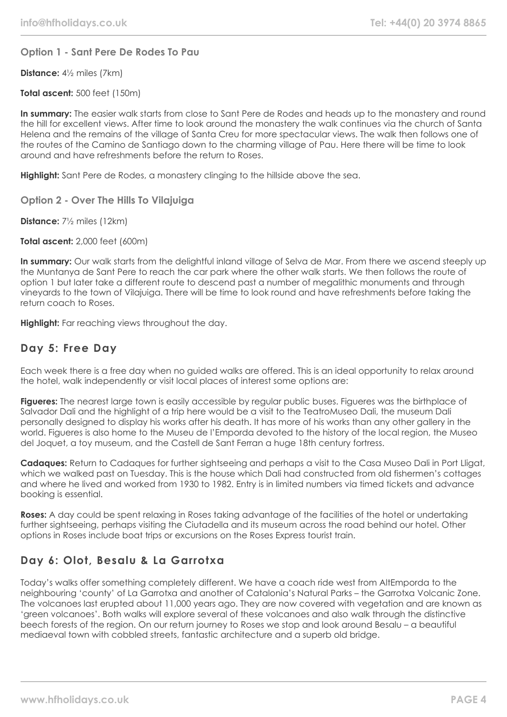## **Option 1 - Sant Pere De Rodes To Pau**

**Distance:** 4½ miles (7km)

**Total ascent:** 500 feet (150m)

**In summary:** The easier walk starts from close to Sant Pere de Rodes and heads up to the monastery and round the hill for excellent views. After time to look around the monastery the walk continues via the church of Santa Helena and the remains of the village of Santa Creu for more spectacular views. The walk then follows one of the routes of the Camino de Santiago down to the charming village of Pau. Here there will be time to look around and have refreshments before the return to Roses.

**Highlight:** Sant Pere de Rodes, a monastery clinging to the hillside above the sea.

**Option 2 - Over The Hills To Vilajuiga**

**Distance:** 7½ miles (12km)

**Total ascent:** 2,000 feet (600m)

**In summary:** Our walk starts from the delightful inland village of Selva de Mar. From there we ascend steeply up the Muntanya de Sant Pere to reach the car park where the other walk starts. We then follows the route of option 1 but later take a different route to descend past a number of megalithic monuments and through vineyards to the town of Vilajuiga. There will be time to look round and have refreshments before taking the return coach to Roses.

**Highlight:** Far reaching views throughout the day.

## **Day 5: Free Day**

Each week there is a free day when no guided walks are offered. This is an ideal opportunity to relax around the hotel, walk independently or visit local places of interest some options are:

**Figueres:** The nearest large town is easily accessible by regular public buses. Figueres was the birthplace of Salvador Dali and the highlight of a trip here would be a visit to the TeatroMuseo Dali, the museum Dali personally designed to display his works after his death. It has more of his works than any other gallery in the world. Figueres is also home to the Museu de l'Emporda devoted to the history of the local region, the Museo del Joquet, a toy museum, and the Castell de Sant Ferran a huge 18th century fortress.

**Cadaques:** Return to Cadaques for further sightseeing and perhaps a visit to the Casa Museo Dali in Port Lligat, which we walked past on Tuesday. This is the house which Dali had constructed from old fishermen's cottages and where he lived and worked from 1930 to 1982. Entry is in limited numbers via timed tickets and advance booking is essential.

**Roses:** A day could be spent relaxing in Roses taking advantage of the facilities of the hotel or undertaking further sightseeing, perhaps visiting the Ciutadella and its museum across the road behind our hotel. Other options in Roses include boat trips or excursions on the Roses Express tourist train.

# **Day 6: Olot, Besalu & La Garrotxa**

Today's walks offer something completely different. We have a coach ride west from AltEmporda to the neighbouring 'county' of La Garrotxa and another of Catalonia's Natural Parks – the Garrotxa Volcanic Zone. The volcanoes last erupted about 11,000 years ago. They are now covered with vegetation and are known as 'green volcanoes'. Both walks will explore several of these volcanoes and also walk through the distinctive beech forests of the region. On our return journey to Roses we stop and look around Besalu – a beautiful mediaeval town with cobbled streets, fantastic architecture and a superb old bridge.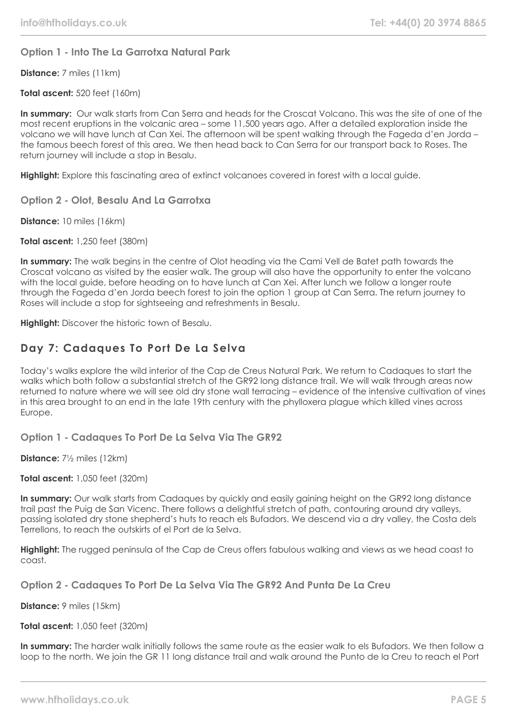## **Option 1 - Into The La Garrotxa Natural Park**

**Distance:** 7 miles (11km)

**Total ascent:** 520 feet (160m)

**In summary:** Our walk starts from Can Serra and heads for the Croscat Volcano. This was the site of one of the most recent eruptions in the volcanic area – some 11,500 years ago. After a detailed exploration inside the volcano we will have lunch at Can Xei. The afternoon will be spent walking through the Fageda d'en Jorda – the famous beech forest of this area. We then head back to Can Serra for our transport back to Roses. The return journey will include a stop in Besalu.

**Highlight:** Explore this fascinating area of extinct volcanoes covered in forest with a local guide.

**Option 2 - Olot, Besalu And La Garrotxa**

**Distance:** 10 miles (16km)

**Total ascent:** 1,250 feet (380m)

**In summary:** The walk begins in the centre of Olot heading via the Cami Vell de Batet path towards the Croscat volcano as visited by the easier walk. The group will also have the opportunity to enter the volcano with the local guide, before heading on to have lunch at Can Xei. After lunch we follow a longer route through the Fageda d'en Jorda beech forest to join the option 1 group at Can Serra. The return journey to Roses will include a stop for sightseeing and refreshments in Besalu.

**Highlight:** Discover the historic town of Besalu.

# **Day 7: Cadaques To Port De La Selva**

Today's walks explore the wild interior of the Cap de Creus Natural Park. We return to Cadaques to start the walks which both follow a substantial stretch of the GR92 long distance trail. We will walk through areas now returned to nature where we will see old dry stone wall terracing – evidence of the intensive cultivation of vines in this area brought to an end in the late 19th century with the phylloxera plague which killed vines across Europe.

**Option 1 - Cadaques To Port De La Selva Via The GR92**

**Distance:** 7½ miles (12km)

**Total ascent:** 1,050 feet (320m)

**In summary:** Our walk starts from Cadaques by quickly and easily gaining height on the GR92 long distance trail past the Puig de San Vicenc. There follows a delightful stretch of path, contouring around dry valleys, passing isolated dry stone shepherd's huts to reach els Bufadors. We descend via a dry valley, the Costa dels Terrellons, to reach the outskirts of el Port de la Selva.

**Highlight:** The rugged peninsula of the Cap de Creus offers fabulous walking and views as we head coast to coast.

**Option 2 - Cadaques To Port De La Selva Via The GR92 And Punta De La Creu**

**Distance:** 9 miles (15km)

**Total ascent:** 1,050 feet (320m)

**In summary:** The harder walk initially follows the same route as the easier walk to els Bufadors. We then follow a loop to the north. We join the GR 11 long distance trail and walk around the Punto de la Creu to reach el Port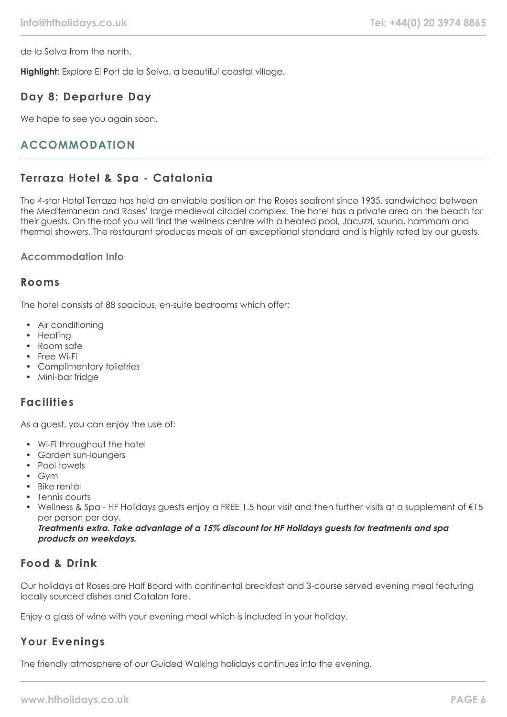de la Selva from the north.

**Highlight:** Explore El Port de la Selva, a beautiful coastal village.

## **Day 8: Departure Day**

We hope to see you again soon.

# **ACCOMMODATION**

# **Terraza Hotel & Spa - Catalonia**

The 4-star Hotel Terraza has held an enviable position on the Roses seafront since 1935, sandwiched between the Mediterranean and Roses' large medieval citadel complex. The hotel has a private area on the beach for their guests. On the roof you will find the wellness centre with a heated pool, Jacuzzi, sauna, hammam and thermal showers. The restaurant produces meals of an exceptional standard and is highly rated by our guests.

## **Accommodation Info**

## **Rooms**

The hotel consists of 88 spacious, en-suite bedrooms which offer:

- Air conditioning
- Heating
- Room safe
- Free Wi-Fi
- Complimentary toiletries
- Mini-bar fridge

## **Facilities**

As a guest, you can enjoy the use of:

- Wi-Fi throughout the hotel
- Garden sun-loungers
- Pool towels
- Gym
- Bike rental
- Tennis courts • Wellness & Spa - HF Holidays guests enjoy a FREE 1.5 hour visit and then further visits at a supplement of €15
	- per person per day.

**Treatments extra. Take advantage of a 15% discount for HF Holidays guests for treatments and spa products on weekdays.**

# **Food & Drink**

Our holidays at Roses are Half Board with continental breakfast and 3-course served evening meal featuring locally sourced dishes and Catalan fare.

Enjoy a glass of wine with your evening meal which is included in your holiday.

# **Your Evenings**

The friendly atmosphere of our Guided Walking holidays continues into the evening.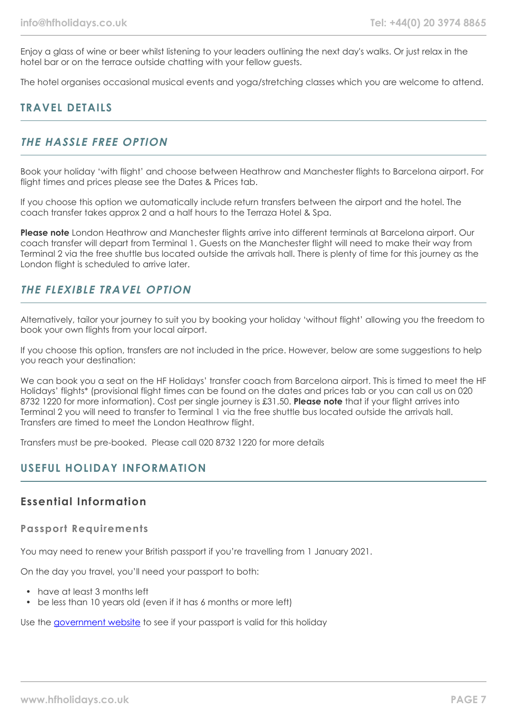Enjoy a glass of wine or beer whilst listening to your leaders outlining the next day's walks. Or just relax in the hotel bar or on the terrace outside chatting with your fellow guests.

The hotel organises occasional musical events and yoga/stretching classes which you are welcome to attend.

# **TRAVEL DETAILS**

## **THE HASSLE FREE OPTION**

Book your holiday 'with flight' and choose between Heathrow and Manchester flights to Barcelona airport. For flight times and prices please see the Dates & Prices tab.

If you choose this option we automatically include return transfers between the airport and the hotel. The coach transfer takes approx 2 and a half hours to the Terraza Hotel & Spa.

**Please note** London Heathrow and Manchester flights arrive into different terminals at Barcelona airport. Our coach transfer will depart from Terminal 1. Guests on the Manchester flight will need to make their way from Terminal 2 via the free shuttle bus located outside the arrivals hall. There is plenty of time for this journey as the London flight is scheduled to arrive later.

## **THE FLEXIBLE TRAVEL OPTION**

Alternatively, tailor your journey to suit you by booking your holiday 'without flight' allowing you the freedom to book your own flights from your local airport.

If you choose this option, transfers are not included in the price. However, below are some suggestions to help you reach your destination:

We can book you a seat on the HF Holidays' transfer coach from Barcelona airport. This is timed to meet the HF Holidays' flights\* (provisional flight times can be found on the dates and prices tab or you can call us on 020 8732 1220 for more information). Cost per single journey is £31.50. **Please note** that if your flight arrives into Terminal 2 you will need to transfer to Terminal 1 via the free shuttle bus located outside the arrivals hall. Transfers are timed to meet the London Heathrow flight.

Transfers must be pre-booked. Please call 020 8732 1220 for more details

## **USEFUL HOLIDAY INFORMATION**

## **Essential Information**

## **Passport Requirements**

You may need to renew your British passport if you're travelling from 1 January 2021.

On the day you travel, you'll need your passport to both:

- have at least 3 months left
- be less than 10 years old (even if it has 6 months or more left)

Use the [government website](https://www.gov.uk/check-a-passport-travel-europe-1-january-2021) to see if your passport is valid for this holiday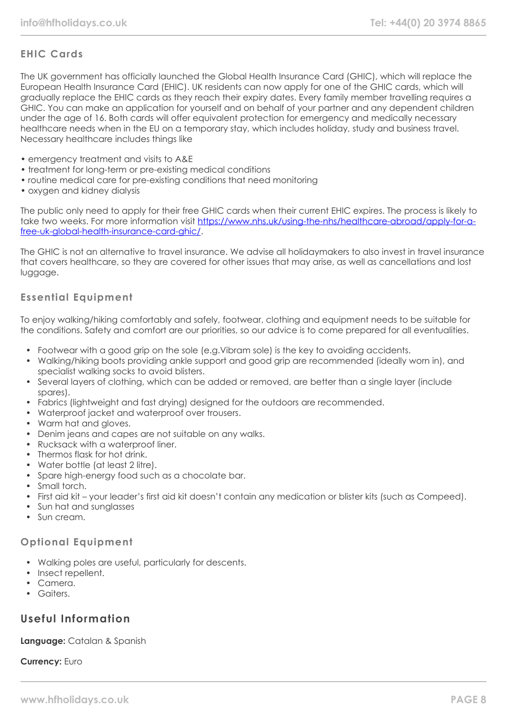## **EHIC Cards**

The UK government has officially launched the Global Health Insurance Card (GHIC), which will replace the European Health Insurance Card (EHIC). UK residents can now apply for one of the GHIC cards, which will gradually replace the EHIC cards as they reach their expiry dates. Every family member travelling requires a GHIC. You can make an application for yourself and on behalf of your partner and any dependent children under the age of 16. Both cards will offer equivalent protection for emergency and medically necessary healthcare needs when in the EU on a temporary stay, which includes holiday, study and business travel. Necessary healthcare includes things like

- emergency treatment and visits to A&E
- treatment for long-term or pre-existing medical conditions
- routine medical care for pre-existing conditions that need monitoring
- oxygen and kidney dialysis

The public only need to apply for their free GHIC cards when their current EHIC expires. The process is likely to take two weeks. For more information visit [https://www.nhs.uk/using-the-nhs/healthcare-abroad/apply-for-a](https://www.nhs.uk/using-the-nhs/healthcare-abroad/apply-for-a-free-uk-global-health-insurance-card-ghic/)[free-uk-global-health-insurance-card-ghic/.](https://www.nhs.uk/using-the-nhs/healthcare-abroad/apply-for-a-free-uk-global-health-insurance-card-ghic/)

The GHIC is not an alternative to travel insurance. We advise all holidaymakers to also invest in travel insurance that covers healthcare, so they are covered for other issues that may arise, as well as cancellations and lost luggage.

## **Essential Equipment**

To enjoy walking/hiking comfortably and safely, footwear, clothing and equipment needs to be suitable for the conditions. Safety and comfort are our priorities, so our advice is to come prepared for all eventualities.

- Footwear with a good grip on the sole (e.g.Vibram sole) is the key to avoiding accidents.
- Walking/hiking boots providing ankle support and good grip are recommended (ideally worn in), and specialist walking socks to avoid blisters.
- Several layers of clothing, which can be added or removed, are better than a single layer (include spares).
- Fabrics (lightweight and fast drying) designed for the outdoors are recommended.
- Waterproof jacket and waterproof over trousers.
- Warm hat and gloves.
- Denim jeans and capes are not suitable on any walks.
- Rucksack with a waterproof liner.
- Thermos flask for hot drink
- Water bottle (at least 2 litre).
- Spare high-energy food such as a chocolate bar.
- Small torch.
- First aid kit your leader's first aid kit doesn't contain any medication or blister kits (such as Compeed).
- Sun hat and sunglasses
- Sun cream

## **Optional Equipment**

- Walking poles are useful, particularly for descents.
- Insect repellent.
- Camera.
- Gaiters.

# **Useful Information**

## **Language:** Catalan & Spanish

## **Currency:** Euro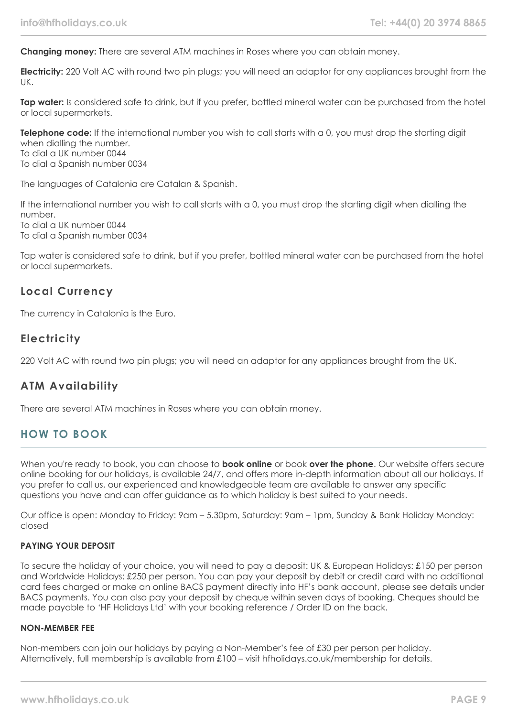**Changing money:** There are several ATM machines in Roses where you can obtain money.

**Electricity:** 220 Volt AC with round two pin plugs; you will need an adaptor for any appliances brought from the UK.

**Tap water:** Is considered safe to drink, but if you prefer, bottled mineral water can be purchased from the hotel or local supermarkets.

**Telephone code:** If the international number you wish to call starts with a 0, you must drop the starting digit when dialling the number. To dial a UK number 0044 To dial a Spanish number 0034

The languages of Catalonia are Catalan & Spanish.

If the international number you wish to call starts with a 0, you must drop the starting digit when dialling the number. To dial a UK number 0044

To dial a Spanish number 0034

Tap water is considered safe to drink, but if you prefer, bottled mineral water can be purchased from the hotel or local supermarkets.

## **Local Currency**

The currency in Catalonia is the Euro.

# **Electricity**

220 Volt AC with round two pin plugs; you will need an adaptor for any appliances brought from the UK.

# **ATM Availability**

There are several ATM machines in Roses where you can obtain money.

# **HOW TO BOOK**

When you're ready to book, you can choose to **book online** or book **over the phone**. Our website offers secure online booking for our holidays, is available 24/7, and offers more in-depth information about all our holidays. If you prefer to call us, our experienced and knowledgeable team are available to answer any specific questions you have and can offer guidance as to which holiday is best suited to your needs.

Our office is open: Monday to Friday: 9am – 5.30pm, Saturday: 9am – 1pm, Sunday & Bank Holiday Monday: closed

## **PAYING YOUR DEPOSIT**

To secure the holiday of your choice, you will need to pay a deposit: UK & European Holidays: £150 per person and Worldwide Holidays: £250 per person. You can pay your deposit by debit or credit card with no additional card fees charged or make an online BACS payment directly into HF's bank account, please see details under BACS payments. You can also pay your deposit by cheque within seven days of booking. Cheques should be made payable to 'HF Holidays Ltd' with your booking reference / Order ID on the back.

## **NON-MEMBER FEE**

Non-members can join our holidays by paying a Non-Member's fee of £30 per person per holiday. Alternatively, full membership is available from £100 – visit hfholidays.co.uk/membership for details.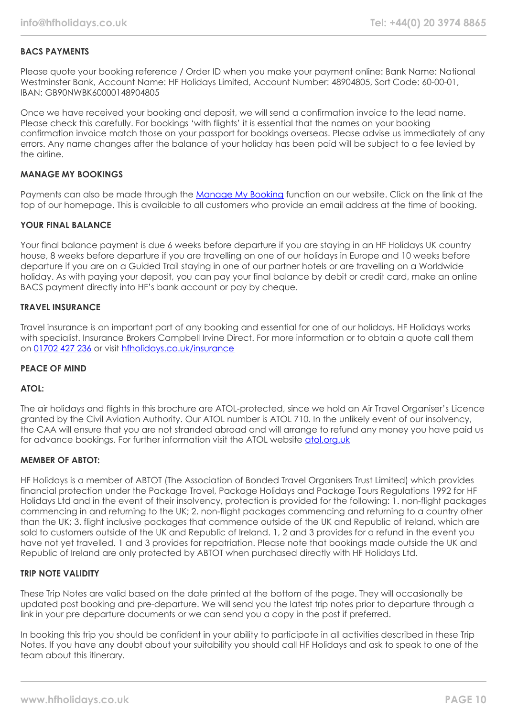## **BACS PAYMENTS**

Please quote your booking reference / Order ID when you make your payment online: Bank Name: National Westminster Bank, Account Name: HF Holidays Limited, Account Number: 48904805, Sort Code: 60-00-01, IBAN: GB90NWBK60000148904805

Once we have received your booking and deposit, we will send a confirmation invoice to the lead name. Please check this carefully. For bookings 'with flights' it is essential that the names on your booking confirmation invoice match those on your passport for bookings overseas. Please advise us immediately of any errors. Any name changes after the balance of your holiday has been paid will be subject to a fee levied by the airline.

#### **MANAGE MY BOOKINGS**

Payments can also be made through the [Manage My Booking](https://www.hfholidays.co.uk/about-us/bookings/my-booking) function on our website. Click on the link at the top of our homepage. This is available to all customers who provide an email address at the time of booking.

#### **YOUR FINAL BALANCE**

Your final balance payment is due 6 weeks before departure if you are staying in an HF Holidays UK country house, 8 weeks before departure if you are travelling on one of our holidays in Europe and 10 weeks before departure if you are on a Guided Trail staying in one of our partner hotels or are travelling on a Worldwide holiday. As with paying your deposit, you can pay your final balance by debit or credit card, make an online BACS payment directly into HF's bank account or pay by cheque.

#### **TRAVEL INSURANCE**

Travel insurance is an important part of any booking and essential for one of our holidays. HF Holidays works with specialist. Insurance Brokers Campbell Irvine Direct. For more information or to obtain a quote call them on [01702 427 236](tel:01702427236) or visit [hfholidays.co.uk/insurance](https://www.hfholidays.co.uk/about-us/bookings/insurance)

#### **PEACE OF MIND**

#### **ATOL:**

The air holidays and flights in this brochure are ATOL-protected, since we hold an Air Travel Organiser's Licence granted by the Civil Aviation Authority. Our ATOL number is ATOL 710. In the unlikely event of our insolvency, the CAA will ensure that you are not stranded abroad and will arrange to refund any money you have paid us for advance bookings. For further information visit the ATOL website [atol.org.uk](https://www.atol.org/)

#### **MEMBER OF ABTOT:**

HF Holidays is a member of ABTOT (The Association of Bonded Travel Organisers Trust Limited) which provides financial protection under the Package Travel, Package Holidays and Package Tours Regulations 1992 for HF Holidays Ltd and in the event of their insolvency, protection is provided for the following: 1. non-flight packages commencing in and returning to the UK; 2. non-flight packages commencing and returning to a country other than the UK; 3. flight inclusive packages that commence outside of the UK and Republic of Ireland, which are sold to customers outside of the UK and Republic of Ireland. 1, 2 and 3 provides for a refund in the event you have not yet travelled. 1 and 3 provides for repatriation. Please note that bookings made outside the UK and Republic of Ireland are only protected by ABTOT when purchased directly with HF Holidays Ltd.

#### **TRIP NOTE VALIDITY**

These Trip Notes are valid based on the date printed at the bottom of the page. They will occasionally be updated post booking and pre-departure. We will send you the latest trip notes prior to departure through a link in your pre departure documents or we can send you a copy in the post if preferred.

In booking this trip you should be confident in your ability to participate in all activities described in these Trip Notes. If you have any doubt about your suitability you should call HF Holidays and ask to speak to one of the team about this itinerary.